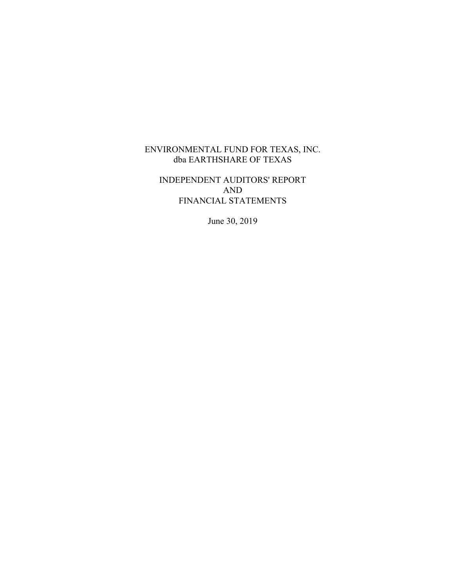# INDEPENDENT AUDITORS' REPORT AND FINANCIAL STATEMENTS

June 30, 2019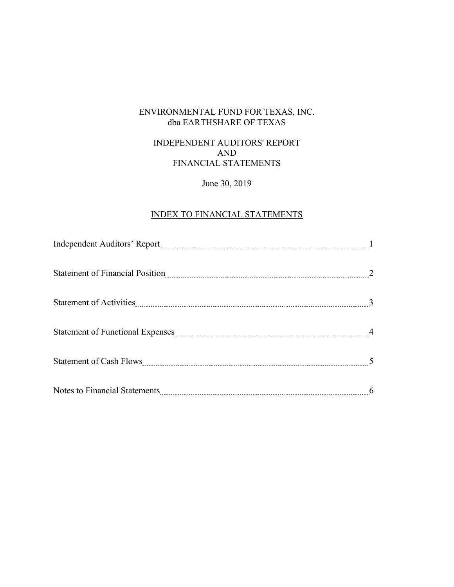# INDEPENDENT AUDITORS' REPORT AND FINANCIAL STATEMENTS

# June 30, 2019

# INDEX TO FINANCIAL STATEMENTS

| Statement of Financial Position <u>manual measure of the statement</u> of Financial Position |  |
|----------------------------------------------------------------------------------------------|--|
|                                                                                              |  |
| Statement of Functional Expenses Material Assembly 2014 and 2015                             |  |
|                                                                                              |  |
|                                                                                              |  |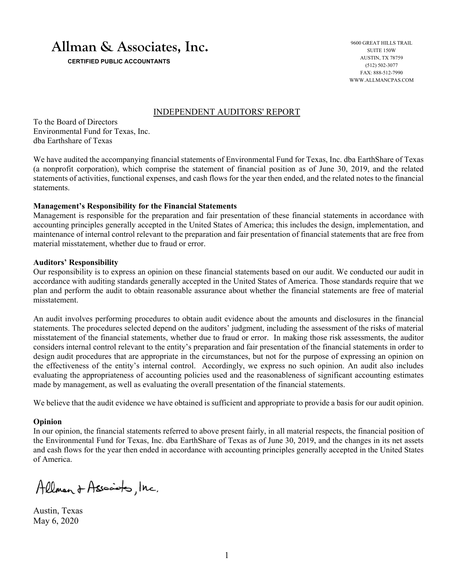# **Allman & Associates, Inc.**

 **CERTIFIED PUBLIC ACCOUNTANTS** 

9600 GREAT HILLS TRAIL SUITE 150W AUSTIN, TX 78759 (512) 502-3077 FAX: 888-512-7990 WWW.ALLMANCPAS.COM

#### INDEPENDENT AUDITORS' REPORT

To the Board of Directors Environmental Fund for Texas, Inc. dba Earthshare of Texas

We have audited the accompanying financial statements of Environmental Fund for Texas, Inc. dba EarthShare of Texas (a nonprofit corporation), which comprise the statement of financial position as of June 30, 2019, and the related statements of activities, functional expenses, and cash flows for the year then ended, and the related notes to the financial statements.

#### **Management's Responsibility for the Financial Statements**

Management is responsible for the preparation and fair presentation of these financial statements in accordance with accounting principles generally accepted in the United States of America; this includes the design, implementation, and maintenance of internal control relevant to the preparation and fair presentation of financial statements that are free from material misstatement, whether due to fraud or error.

#### **Auditors' Responsibility**

Our responsibility is to express an opinion on these financial statements based on our audit. We conducted our audit in accordance with auditing standards generally accepted in the United States of America. Those standards require that we plan and perform the audit to obtain reasonable assurance about whether the financial statements are free of material misstatement.

An audit involves performing procedures to obtain audit evidence about the amounts and disclosures in the financial statements. The procedures selected depend on the auditors' judgment, including the assessment of the risks of material misstatement of the financial statements, whether due to fraud or error. In making those risk assessments, the auditor considers internal control relevant to the entity's preparation and fair presentation of the financial statements in order to design audit procedures that are appropriate in the circumstances, but not for the purpose of expressing an opinion on the effectiveness of the entity's internal control. Accordingly, we express no such opinion. An audit also includes evaluating the appropriateness of accounting policies used and the reasonableness of significant accounting estimates made by management, as well as evaluating the overall presentation of the financial statements.

We believe that the audit evidence we have obtained is sufficient and appropriate to provide a basis for our audit opinion.

#### **Opinion**

In our opinion, the financial statements referred to above present fairly, in all material respects, the financial position of the Environmental Fund for Texas, Inc. dba EarthShare of Texas as of June 30, 2019, and the changes in its net assets and cash flows for the year then ended in accordance with accounting principles generally accepted in the United States of America.

Allman & Associato, Inc.

Austin, Texas May 6, 2020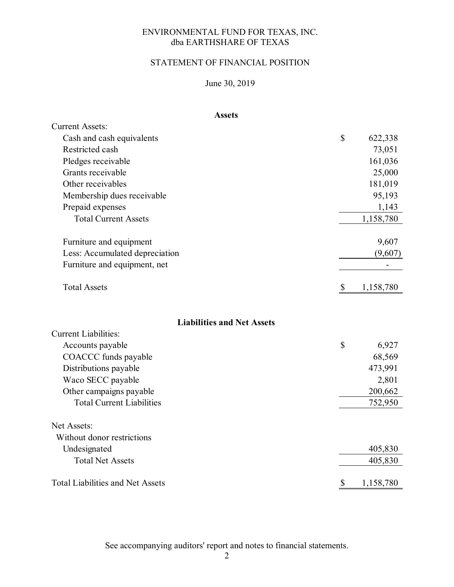# STATEMENT OF FINANCIAL POSITION

# June 30, 2019

# **Assets**

| <b>Current Assets:</b>                  |                           |           |
|-----------------------------------------|---------------------------|-----------|
| Cash and cash equivalents               | \$                        | 622,338   |
| Restricted cash                         |                           | 73,051    |
| Pledges receivable                      |                           | 161,036   |
| Grants receivable                       |                           | 25,000    |
| Other receivables                       |                           | 181,019   |
| Membership dues receivable              |                           | 95,193    |
| Prepaid expenses                        |                           | 1,143     |
| <b>Total Current Assets</b>             |                           | 1,158,780 |
| Furniture and equipment                 |                           | 9,607     |
| Less: Accumulated depreciation          |                           | (9,607)   |
| Furniture and equipment, net            |                           |           |
| <b>Total Assets</b>                     | $\boldsymbol{\mathsf{S}}$ | 1,158,780 |
| <b>Liabilities and Net Assets</b>       |                           |           |
| <b>Current Liabilities:</b>             |                           |           |
| Accounts payable                        | \$                        | 6,927     |
| COACCC funds payable                    |                           | 68,569    |
| Distributions payable                   |                           | 473,991   |
| Waco SECC payable                       |                           | 2,801     |
| Other campaigns payable                 |                           | 200,662   |
| <b>Total Current Liabilities</b>        |                           | 752,950   |
| Net Assets:                             |                           |           |
| Without donor restrictions              |                           |           |
| Undesignated                            |                           | 405,830   |
| <b>Total Net Assets</b>                 |                           | 405,830   |
| <b>Total Liabilities and Net Assets</b> | \$                        | 1,158,780 |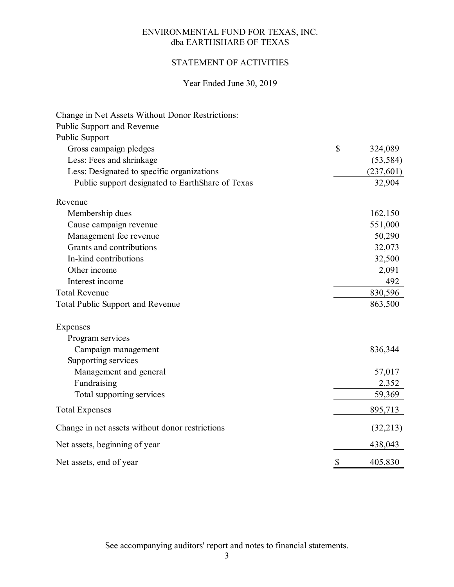# STATEMENT OF ACTIVITIES

# Year Ended June 30, 2019

| Change in Net Assets Without Donor Restrictions: |               |
|--------------------------------------------------|---------------|
| Public Support and Revenue                       |               |
| Public Support                                   |               |
| Gross campaign pledges                           | \$<br>324,089 |
| Less: Fees and shrinkage                         | (53, 584)     |
| Less: Designated to specific organizations       | (237,601)     |
| Public support designated to EarthShare of Texas | 32,904        |
| Revenue                                          |               |
| Membership dues                                  | 162,150       |
| Cause campaign revenue                           | 551,000       |
| Management fee revenue                           | 50,290        |
| Grants and contributions                         | 32,073        |
| In-kind contributions                            | 32,500        |
| Other income                                     | 2,091         |
| Interest income                                  | 492           |
| <b>Total Revenue</b>                             | 830,596       |
| <b>Total Public Support and Revenue</b>          | 863,500       |
| Expenses                                         |               |
| Program services                                 |               |
| Campaign management                              | 836,344       |
| Supporting services                              |               |
| Management and general                           | 57,017        |
| Fundraising                                      | 2,352         |
| Total supporting services                        | 59,369        |
| <b>Total Expenses</b>                            | 895,713       |
| Change in net assets without donor restrictions  | (32,213)      |
| Net assets, beginning of year                    | 438,043       |
| Net assets, end of year                          | \$<br>405,830 |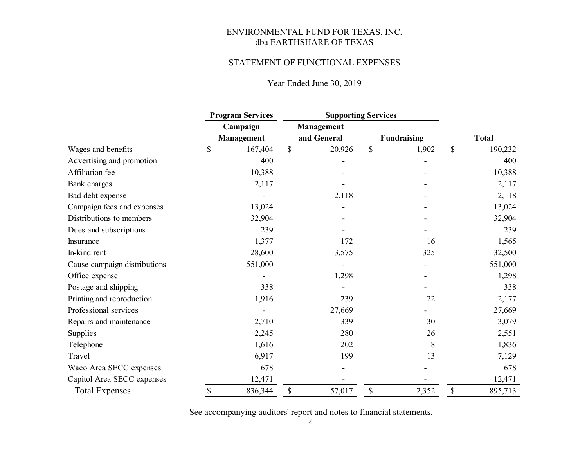#### STATEMENT OF FUNCTIONAL EXPENSES

# Year Ended June 30, 2019

|                              |          | <b>Program Services</b> |                           |                   | <b>Supporting Services</b> |       |               |         |
|------------------------------|----------|-------------------------|---------------------------|-------------------|----------------------------|-------|---------------|---------|
|                              | Campaign |                         |                           | <b>Management</b> |                            |       |               |         |
|                              |          | <b>Management</b>       | and General               |                   | <b>Fundraising</b>         |       | <b>Total</b>  |         |
| Wages and benefits           | \$       | 167,404                 | $\boldsymbol{\mathsf{S}}$ | 20,926            | $\mathbb{S}$               | 1,902 | $\mathcal{S}$ | 190,232 |
| Advertising and promotion    |          | 400                     |                           |                   |                            |       |               | 400     |
| Affiliation fee              |          | 10,388                  |                           |                   |                            |       |               | 10,388  |
| Bank charges                 |          | 2,117                   |                           |                   |                            |       |               | 2,117   |
| Bad debt expense             |          |                         |                           | 2,118             |                            |       |               | 2,118   |
| Campaign fees and expenses   |          | 13,024                  |                           |                   |                            |       |               | 13,024  |
| Distributions to members     |          | 32,904                  |                           |                   |                            |       |               | 32,904  |
| Dues and subscriptions       |          | 239                     |                           |                   |                            |       |               | 239     |
| Insurance                    |          | 1,377                   |                           | 172               |                            | 16    |               | 1,565   |
| In-kind rent                 |          | 28,600                  |                           | 3,575             |                            | 325   |               | 32,500  |
| Cause campaign distributions |          | 551,000                 |                           |                   |                            |       |               | 551,000 |
| Office expense               |          |                         |                           | 1,298             |                            |       |               | 1,298   |
| Postage and shipping         |          | 338                     |                           |                   |                            |       |               | 338     |
| Printing and reproduction    |          | 1,916                   |                           | 239               |                            | 22    |               | 2,177   |
| Professional services        |          |                         |                           | 27,669            |                            |       |               | 27,669  |
| Repairs and maintenance      |          | 2,710                   |                           | 339               |                            | 30    |               | 3,079   |
| Supplies                     |          | 2,245                   |                           | 280               |                            | 26    |               | 2,551   |
| Telephone                    |          | 1,616                   |                           | 202               |                            | 18    |               | 1,836   |
| Travel                       |          | 6,917                   |                           | 199               |                            | 13    |               | 7,129   |
| Waco Area SECC expenses      |          | 678                     |                           |                   |                            |       |               | 678     |
| Capitol Area SECC expenses   |          | 12,471                  |                           |                   |                            |       |               | 12,471  |
| <b>Total Expenses</b>        | \$       | 836,344                 | \$                        | 57,017            | \$                         | 2,352 | \$            | 895,713 |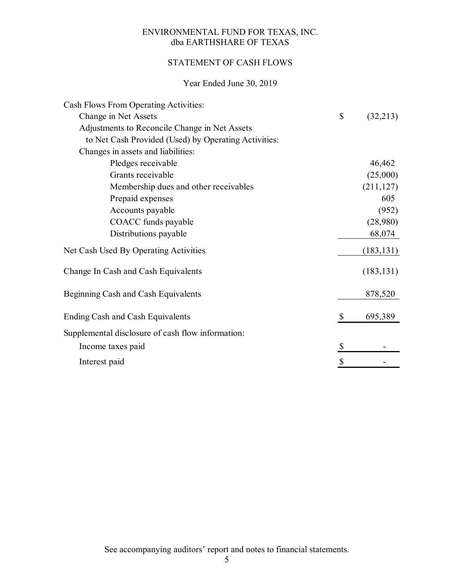# STATEMENT OF CASH FLOWS

# Year Ended June 30, 2019

| Cash Flows From Operating Activities:                |                |
|------------------------------------------------------|----------------|
| Change in Net Assets                                 | \$<br>(32,213) |
| Adjustments to Reconcile Change in Net Assets        |                |
| to Net Cash Provided (Used) by Operating Activities: |                |
| Changes in assets and liabilities:                   |                |
| Pledges receivable                                   | 46,462         |
| Grants receivable                                    | (25,000)       |
| Membership dues and other receivables                | (211, 127)     |
| Prepaid expenses                                     | 605            |
| Accounts payable                                     | (952)          |
| COACC funds payable                                  | (28,980)       |
| Distributions payable                                | 68,074         |
| Net Cash Used By Operating Activities                | (183, 131)     |
| Change In Cash and Cash Equivalents                  | (183, 131)     |
| Beginning Cash and Cash Equivalents                  | 878,520        |
| <b>Ending Cash and Cash Equivalents</b>              | \$<br>695,389  |
| Supplemental disclosure of cash flow information:    |                |
| Income taxes paid                                    | \$             |
| Interest paid                                        | \$             |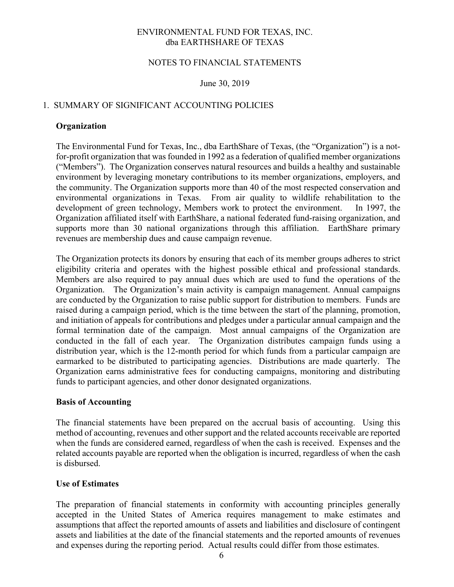#### NOTES TO FINANCIAL STATEMENTS

#### June 30, 2019

# 1. SUMMARY OF SIGNIFICANT ACCOUNTING POLICIES

#### **Organization**

The Environmental Fund for Texas, Inc., dba EarthShare of Texas, (the "Organization") is a notfor-profit organization that was founded in 1992 as a federation of qualified member organizations ("Members"). The Organization conserves natural resources and builds a healthy and sustainable environment by leveraging monetary contributions to its member organizations, employers, and the community. The Organization supports more than 40 of the most respected conservation and environmental organizations in Texas. From air quality to wildlife rehabilitation to the development of green technology, Members work to protect the environment. In 1997, the Organization affiliated itself with EarthShare, a national federated fund-raising organization, and supports more than 30 national organizations through this affiliation. EarthShare primary revenues are membership dues and cause campaign revenue.

The Organization protects its donors by ensuring that each of its member groups adheres to strict eligibility criteria and operates with the highest possible ethical and professional standards. Members are also required to pay annual dues which are used to fund the operations of the Organization. The Organization's main activity is campaign management. Annual campaigns are conducted by the Organization to raise public support for distribution to members. Funds are raised during a campaign period, which is the time between the start of the planning, promotion, and initiation of appeals for contributions and pledges under a particular annual campaign and the formal termination date of the campaign. Most annual campaigns of the Organization are conducted in the fall of each year. The Organization distributes campaign funds using a distribution year, which is the 12-month period for which funds from a particular campaign are earmarked to be distributed to participating agencies. Distributions are made quarterly. The Organization earns administrative fees for conducting campaigns, monitoring and distributing funds to participant agencies, and other donor designated organizations.

#### **Basis of Accounting**

The financial statements have been prepared on the accrual basis of accounting. Using this method of accounting, revenues and other support and the related accounts receivable are reported when the funds are considered earned, regardless of when the cash is received. Expenses and the related accounts payable are reported when the obligation is incurred, regardless of when the cash is disbursed.

# **Use of Estimates**

The preparation of financial statements in conformity with accounting principles generally accepted in the United States of America requires management to make estimates and assumptions that affect the reported amounts of assets and liabilities and disclosure of contingent assets and liabilities at the date of the financial statements and the reported amounts of revenues and expenses during the reporting period. Actual results could differ from those estimates.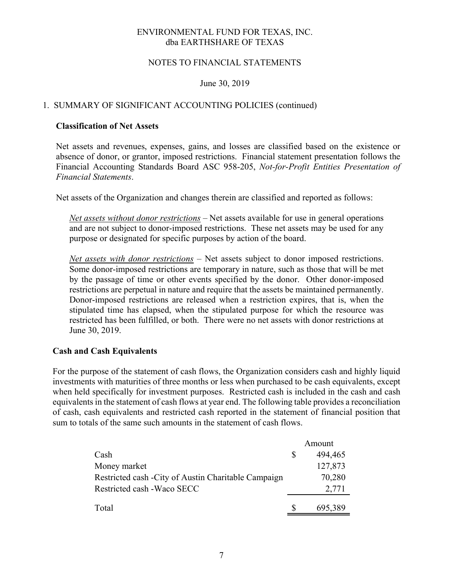### NOTES TO FINANCIAL STATEMENTS

#### June 30, 2019

## 1. SUMMARY OF SIGNIFICANT ACCOUNTING POLICIES (continued)

#### **Classification of Net Assets**

Net assets and revenues, expenses, gains, and losses are classified based on the existence or absence of donor, or grantor, imposed restrictions. Financial statement presentation follows the Financial Accounting Standards Board ASC 958-205, *Not-for-Profit Entities Presentation of Financial Statements*.

Net assets of the Organization and changes therein are classified and reported as follows:

*Net assets without donor restrictions –* Net assets available for use in general operations and are not subject to donor-imposed restrictions. These net assets may be used for any purpose or designated for specific purposes by action of the board.

*Net assets with donor restrictions* – Net assets subject to donor imposed restrictions. Some donor-imposed restrictions are temporary in nature, such as those that will be met by the passage of time or other events specified by the donor. Other donor-imposed restrictions are perpetual in nature and require that the assets be maintained permanently. Donor-imposed restrictions are released when a restriction expires, that is, when the stipulated time has elapsed, when the stipulated purpose for which the resource was restricted has been fulfilled, or both. There were no net assets with donor restrictions at June 30, 2019.

#### **Cash and Cash Equivalents**

For the purpose of the statement of cash flows, the Organization considers cash and highly liquid investments with maturities of three months or less when purchased to be cash equivalents, except when held specifically for investment purposes. Restricted cash is included in the cash and cash equivalents in the statement of cash flows at year end. The following table provides a reconciliation of cash, cash equivalents and restricted cash reported in the statement of financial position that sum to totals of the same such amounts in the statement of cash flows.

|                                                      |              | Amount  |
|------------------------------------------------------|--------------|---------|
| Cash                                                 | <sup>8</sup> | 494,465 |
| Money market                                         |              | 127,873 |
| Restricted cash - City of Austin Charitable Campaign |              | 70,280  |
| Restricted cash - Waco SECC                          |              | 2,771   |
| Total                                                | <b>S</b>     | 695,389 |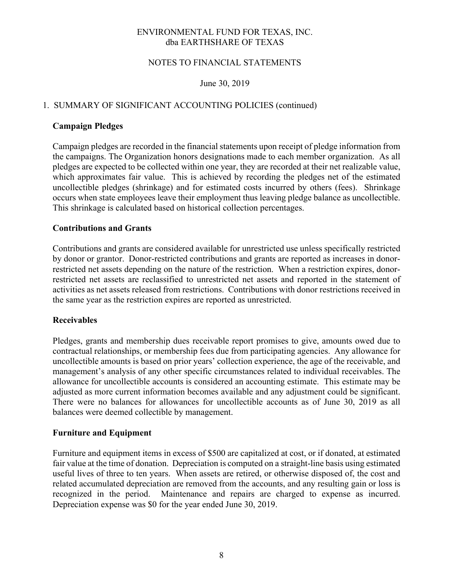# NOTES TO FINANCIAL STATEMENTS

## June 30, 2019

# 1. SUMMARY OF SIGNIFICANT ACCOUNTING POLICIES (continued)

#### **Campaign Pledges**

Campaign pledges are recorded in the financial statements upon receipt of pledge information from the campaigns. The Organization honors designations made to each member organization. As all pledges are expected to be collected within one year, they are recorded at their net realizable value, which approximates fair value. This is achieved by recording the pledges net of the estimated uncollectible pledges (shrinkage) and for estimated costs incurred by others (fees). Shrinkage occurs when state employees leave their employment thus leaving pledge balance as uncollectible. This shrinkage is calculated based on historical collection percentages.

#### **Contributions and Grants**

Contributions and grants are considered available for unrestricted use unless specifically restricted by donor or grantor. Donor-restricted contributions and grants are reported as increases in donorrestricted net assets depending on the nature of the restriction. When a restriction expires, donorrestricted net assets are reclassified to unrestricted net assets and reported in the statement of activities as net assets released from restrictions. Contributions with donor restrictions received in the same year as the restriction expires are reported as unrestricted.

#### **Receivables**

Pledges, grants and membership dues receivable report promises to give, amounts owed due to contractual relationships, or membership fees due from participating agencies. Any allowance for uncollectible amounts is based on prior years' collection experience, the age of the receivable, and management's analysis of any other specific circumstances related to individual receivables. The allowance for uncollectible accounts is considered an accounting estimate. This estimate may be adjusted as more current information becomes available and any adjustment could be significant. There were no balances for allowances for uncollectible accounts as of June 30, 2019 as all balances were deemed collectible by management.

#### **Furniture and Equipment**

Furniture and equipment items in excess of \$500 are capitalized at cost, or if donated, at estimated fair value at the time of donation. Depreciation is computed on a straight-line basis using estimated useful lives of three to ten years. When assets are retired, or otherwise disposed of, the cost and related accumulated depreciation are removed from the accounts, and any resulting gain or loss is recognized in the period. Maintenance and repairs are charged to expense as incurred. Depreciation expense was \$0 for the year ended June 30, 2019.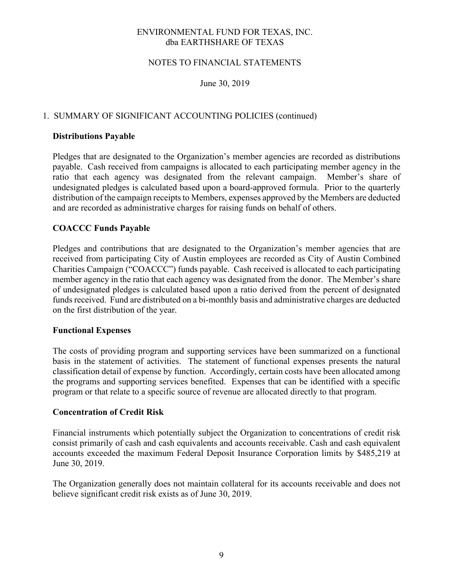### NOTES TO FINANCIAL STATEMENTS

June 30, 2019

# 1. SUMMARY OF SIGNIFICANT ACCOUNTING POLICIES (continued)

#### **Distributions Payable**

Pledges that are designated to the Organization's member agencies are recorded as distributions payable. Cash received from campaigns is allocated to each participating member agency in the ratio that each agency was designated from the relevant campaign. Member's share of undesignated pledges is calculated based upon a board-approved formula. Prior to the quarterly distribution of the campaign receipts to Members, expenses approved by the Members are deducted and are recorded as administrative charges for raising funds on behalf of others.

## **COACCC Funds Payable**

Pledges and contributions that are designated to the Organization's member agencies that are received from participating City of Austin employees are recorded as City of Austin Combined Charities Campaign ("COACCC") funds payable. Cash received is allocated to each participating member agency in the ratio that each agency was designated from the donor. The Member's share of undesignated pledges is calculated based upon a ratio derived from the percent of designated funds received. Fund are distributed on a bi-monthly basis and administrative charges are deducted on the first distribution of the year.

#### **Functional Expenses**

The costs of providing program and supporting services have been summarized on a functional basis in the statement of activities. The statement of functional expenses presents the natural classification detail of expense by function. Accordingly, certain costs have been allocated among the programs and supporting services benefited. Expenses that can be identified with a specific program or that relate to a specific source of revenue are allocated directly to that program.

#### **Concentration of Credit Risk**

Financial instruments which potentially subject the Organization to concentrations of credit risk consist primarily of cash and cash equivalents and accounts receivable. Cash and cash equivalent accounts exceeded the maximum Federal Deposit Insurance Corporation limits by \$485,219 at June 30, 2019.

The Organization generally does not maintain collateral for its accounts receivable and does not believe significant credit risk exists as of June 30, 2019.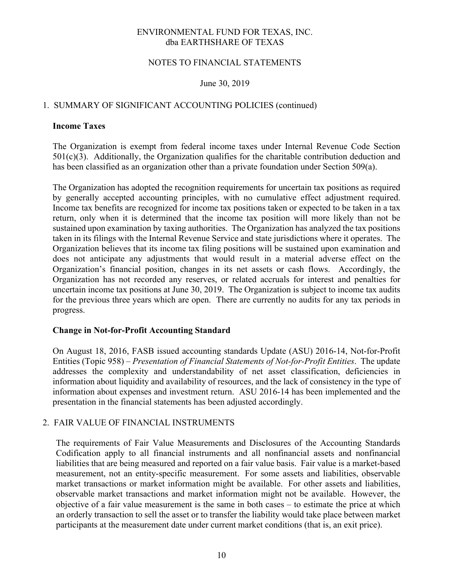#### NOTES TO FINANCIAL STATEMENTS

#### June 30, 2019

# 1. SUMMARY OF SIGNIFICANT ACCOUNTING POLICIES (continued)

#### **Income Taxes**

The Organization is exempt from federal income taxes under Internal Revenue Code Section  $501(c)(3)$ . Additionally, the Organization qualifies for the charitable contribution deduction and has been classified as an organization other than a private foundation under Section 509(a).

The Organization has adopted the recognition requirements for uncertain tax positions as required by generally accepted accounting principles, with no cumulative effect adjustment required. Income tax benefits are recognized for income tax positions taken or expected to be taken in a tax return, only when it is determined that the income tax position will more likely than not be sustained upon examination by taxing authorities. The Organization has analyzed the tax positions taken in its filings with the Internal Revenue Service and state jurisdictions where it operates. The Organization believes that its income tax filing positions will be sustained upon examination and does not anticipate any adjustments that would result in a material adverse effect on the Organization's financial position, changes in its net assets or cash flows. Accordingly, the Organization has not recorded any reserves, or related accruals for interest and penalties for uncertain income tax positions at June 30, 2019. The Organization is subject to income tax audits for the previous three years which are open. There are currently no audits for any tax periods in progress.

#### **Change in Not-for-Profit Accounting Standard**

On August 18, 2016, FASB issued accounting standards Update (ASU) 2016-14, Not-for-Profit Entities (Topic 958) – *Presentation of Financial Statements of Not-for-Profit Entities*. The update addresses the complexity and understandability of net asset classification, deficiencies in information about liquidity and availability of resources, and the lack of consistency in the type of information about expenses and investment return. ASU 2016-14 has been implemented and the presentation in the financial statements has been adjusted accordingly.

# 2. FAIR VALUE OF FINANCIAL INSTRUMENTS

The requirements of Fair Value Measurements and Disclosures of the Accounting Standards Codification apply to all financial instruments and all nonfinancial assets and nonfinancial liabilities that are being measured and reported on a fair value basis. Fair value is a market-based measurement, not an entity-specific measurement. For some assets and liabilities, observable market transactions or market information might be available. For other assets and liabilities, observable market transactions and market information might not be available. However, the objective of a fair value measurement is the same in both cases – to estimate the price at which an orderly transaction to sell the asset or to transfer the liability would take place between market participants at the measurement date under current market conditions (that is, an exit price).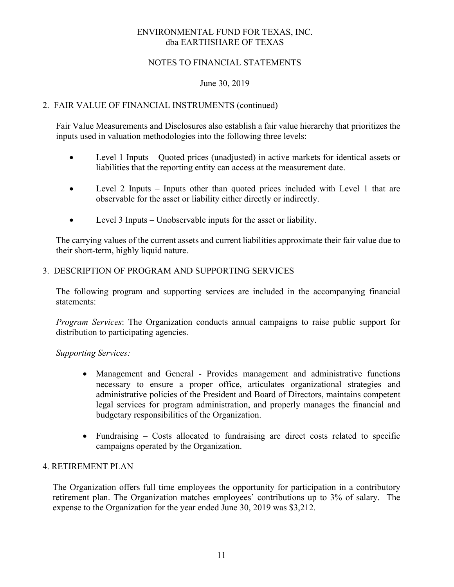# NOTES TO FINANCIAL STATEMENTS

## June 30, 2019

# 2. FAIR VALUE OF FINANCIAL INSTRUMENTS (continued)

Fair Value Measurements and Disclosures also establish a fair value hierarchy that prioritizes the inputs used in valuation methodologies into the following three levels:

- Level 1 Inputs Quoted prices (unadjusted) in active markets for identical assets or liabilities that the reporting entity can access at the measurement date.
- Level 2 Inputs Inputs other than quoted prices included with Level 1 that are observable for the asset or liability either directly or indirectly.
- Level 3 Inputs Unobservable inputs for the asset or liability.

The carrying values of the current assets and current liabilities approximate their fair value due to their short-term, highly liquid nature.

## 3. DESCRIPTION OF PROGRAM AND SUPPORTING SERVICES

The following program and supporting services are included in the accompanying financial statements:

*Program Services*: The Organization conducts annual campaigns to raise public support for distribution to participating agencies.

#### *Supporting Services:*

- Management and General Provides management and administrative functions necessary to ensure a proper office, articulates organizational strategies and administrative policies of the President and Board of Directors, maintains competent legal services for program administration, and properly manages the financial and budgetary responsibilities of the Organization.
- Fundraising Costs allocated to fundraising are direct costs related to specific campaigns operated by the Organization.

#### 4. RETIREMENT PLAN

The Organization offers full time employees the opportunity for participation in a contributory retirement plan. The Organization matches employees' contributions up to 3% of salary. The expense to the Organization for the year ended June 30, 2019 was \$3,212.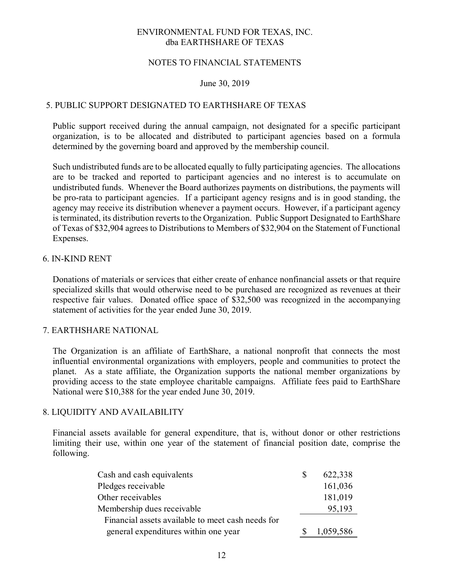### NOTES TO FINANCIAL STATEMENTS

#### June 30, 2019

# 5. PUBLIC SUPPORT DESIGNATED TO EARTHSHARE OF TEXAS

Public support received during the annual campaign, not designated for a specific participant organization, is to be allocated and distributed to participant agencies based on a formula determined by the governing board and approved by the membership council.

Such undistributed funds are to be allocated equally to fully participating agencies. The allocations are to be tracked and reported to participant agencies and no interest is to accumulate on undistributed funds. Whenever the Board authorizes payments on distributions, the payments will be pro-rata to participant agencies. If a participant agency resigns and is in good standing, the agency may receive its distribution whenever a payment occurs. However, if a participant agency is terminated, its distribution reverts to the Organization. Public Support Designated to EarthShare of Texas of \$32,904 agrees to Distributions to Members of \$32,904 on the Statement of Functional Expenses.

#### 6. IN-KIND RENT

Donations of materials or services that either create of enhance nonfinancial assets or that require specialized skills that would otherwise need to be purchased are recognized as revenues at their respective fair values. Donated office space of \$32,500 was recognized in the accompanying statement of activities for the year ended June 30, 2019.

#### 7. EARTHSHARE NATIONAL

The Organization is an affiliate of EarthShare, a national nonprofit that connects the most influential environmental organizations with employers, people and communities to protect the planet. As a state affiliate, the Organization supports the national member organizations by providing access to the state employee charitable campaigns. Affiliate fees paid to EarthShare National were \$10,388 for the year ended June 30, 2019.

# 8. LIQUIDITY AND AVAILABILITY

Financial assets available for general expenditure, that is, without donor or other restrictions limiting their use, within one year of the statement of financial position date, comprise the following.

| Cash and cash equivalents                         | 622,338   |
|---------------------------------------------------|-----------|
| Pledges receivable                                | 161,036   |
| Other receivables                                 | 181,019   |
| Membership dues receivable                        | 95,193    |
| Financial assets available to meet cash needs for |           |
| general expenditures within one year              | 1,059,586 |